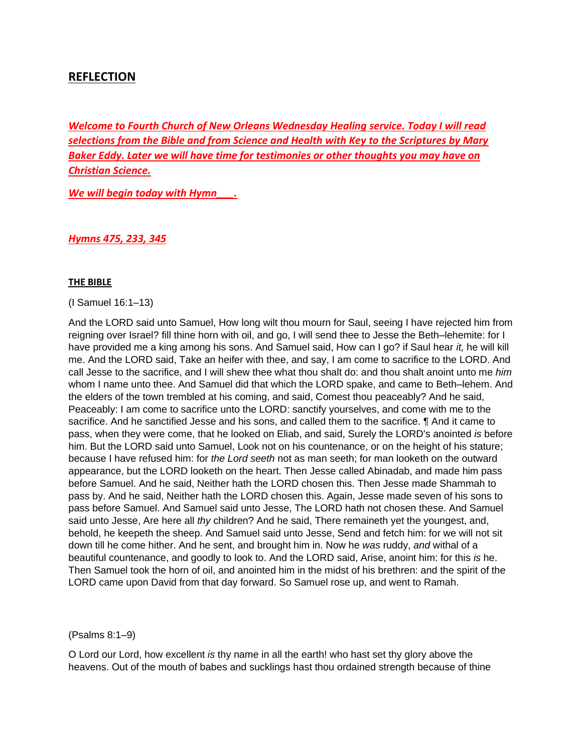### **REFLECTION**

*Welcome to Fourth Church of New Orleans Wednesday Healing service. Today I will read selections from the Bible and from Science and Health with Key to the Scriptures by Mary Baker Eddy. Later we will have time for testimonies or other thoughts you may have on Christian Science.*

*We will begin today with Hymn\_\_\_.* 

*Hymns 475, 233, 345*

#### **THE BIBLE**

(I Samuel 16:1–13)

And the LORD said unto Samuel, How long wilt thou mourn for Saul, seeing I have rejected him from reigning over Israel? fill thine horn with oil, and go, I will send thee to Jesse the Beth–lehemite: for I have provided me a king among his sons. And Samuel said, How can I go? if Saul hear *it,* he will kill me. And the LORD said, Take an heifer with thee, and say, I am come to sacrifice to the LORD. And call Jesse to the sacrifice, and I will shew thee what thou shalt do: and thou shalt anoint unto me *him* whom I name unto thee. And Samuel did that which the LORD spake, and came to Beth–lehem. And the elders of the town trembled at his coming, and said, Comest thou peaceably? And he said, Peaceably: I am come to sacrifice unto the LORD: sanctify yourselves, and come with me to the sacrifice. And he sanctified Jesse and his sons, and called them to the sacrifice. ¶ And it came to pass, when they were come, that he looked on Eliab, and said, Surely the LORD's anointed *is* before him. But the LORD said unto Samuel, Look not on his countenance, or on the height of his stature; because I have refused him: for *the Lord seeth* not as man seeth; for man looketh on the outward appearance, but the LORD looketh on the heart. Then Jesse called Abinadab, and made him pass before Samuel. And he said, Neither hath the LORD chosen this. Then Jesse made Shammah to pass by. And he said, Neither hath the LORD chosen this. Again, Jesse made seven of his sons to pass before Samuel. And Samuel said unto Jesse, The LORD hath not chosen these. And Samuel said unto Jesse, Are here all *thy* children? And he said, There remaineth yet the youngest, and, behold, he keepeth the sheep. And Samuel said unto Jesse, Send and fetch him: for we will not sit down till he come hither. And he sent, and brought him in. Now he *was* ruddy, *and* withal of a beautiful countenance, and goodly to look to. And the LORD said, Arise, anoint him: for this *is* he. Then Samuel took the horn of oil, and anointed him in the midst of his brethren: and the spirit of the LORD came upon David from that day forward. So Samuel rose up, and went to Ramah.

#### (Psalms 8:1–9)

O Lord our Lord, how excellent *is* thy name in all the earth! who hast set thy glory above the heavens. Out of the mouth of babes and sucklings hast thou ordained strength because of thine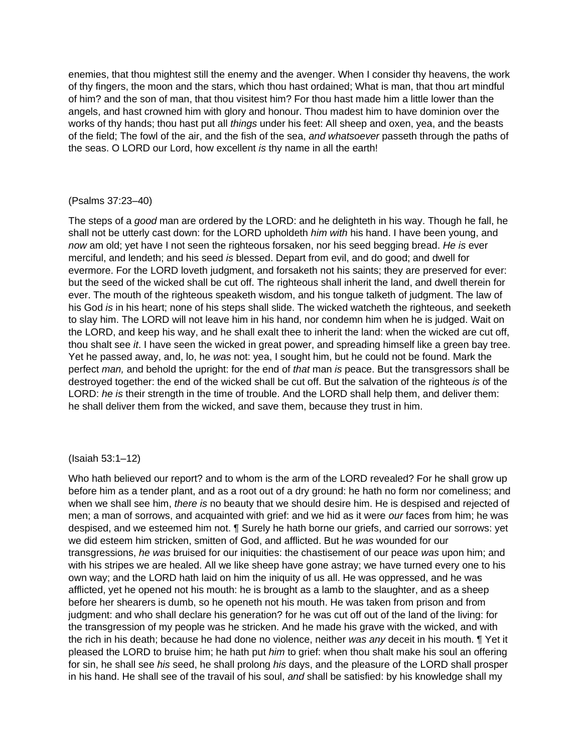enemies, that thou mightest still the enemy and the avenger. When I consider thy heavens, the work of thy fingers, the moon and the stars, which thou hast ordained; What is man, that thou art mindful of him? and the son of man, that thou visitest him? For thou hast made him a little lower than the angels, and hast crowned him with glory and honour. Thou madest him to have dominion over the works of thy hands; thou hast put all *things* under his feet: All sheep and oxen, yea, and the beasts of the field; The fowl of the air, and the fish of the sea, *and whatsoever* passeth through the paths of the seas. O LORD our Lord, how excellent *is* thy name in all the earth!

#### (Psalms 37:23–40)

The steps of a *good* man are ordered by the LORD: and he delighteth in his way. Though he fall, he shall not be utterly cast down: for the LORD upholdeth *him with* his hand. I have been young, and *now* am old; yet have I not seen the righteous forsaken, nor his seed begging bread. *He is* ever merciful, and lendeth; and his seed *is* blessed. Depart from evil, and do good; and dwell for evermore. For the LORD loveth judgment, and forsaketh not his saints; they are preserved for ever: but the seed of the wicked shall be cut off. The righteous shall inherit the land, and dwell therein for ever. The mouth of the righteous speaketh wisdom, and his tongue talketh of judgment. The law of his God *is* in his heart; none of his steps shall slide. The wicked watcheth the righteous, and seeketh to slay him. The LORD will not leave him in his hand, nor condemn him when he is judged. Wait on the LORD, and keep his way, and he shall exalt thee to inherit the land: when the wicked are cut off, thou shalt see *it*. I have seen the wicked in great power, and spreading himself like a green bay tree. Yet he passed away, and, lo, he *was* not: yea, I sought him, but he could not be found. Mark the perfect *man,* and behold the upright: for the end of *that* man *is* peace. But the transgressors shall be destroyed together: the end of the wicked shall be cut off. But the salvation of the righteous *is* of the LORD: *he is* their strength in the time of trouble. And the LORD shall help them, and deliver them: he shall deliver them from the wicked, and save them, because they trust in him.

#### (Isaiah 53:1–12)

Who hath believed our report? and to whom is the arm of the LORD revealed? For he shall grow up before him as a tender plant, and as a root out of a dry ground: he hath no form nor comeliness; and when we shall see him, *there is* no beauty that we should desire him. He is despised and rejected of men; a man of sorrows, and acquainted with grief: and we hid as it were *our* faces from him; he was despised, and we esteemed him not. ¶ Surely he hath borne our griefs, and carried our sorrows: yet we did esteem him stricken, smitten of God, and afflicted. But he *was* wounded for our transgressions, *he was* bruised for our iniquities: the chastisement of our peace *was* upon him; and with his stripes we are healed. All we like sheep have gone astray; we have turned every one to his own way; and the LORD hath laid on him the iniquity of us all. He was oppressed, and he was afflicted, yet he opened not his mouth: he is brought as a lamb to the slaughter, and as a sheep before her shearers is dumb, so he openeth not his mouth. He was taken from prison and from judgment: and who shall declare his generation? for he was cut off out of the land of the living: for the transgression of my people was he stricken. And he made his grave with the wicked, and with the rich in his death; because he had done no violence, neither *was any* deceit in his mouth. ¶ Yet it pleased the LORD to bruise him; he hath put *him* to grief: when thou shalt make his soul an offering for sin, he shall see *his* seed, he shall prolong *his* days, and the pleasure of the LORD shall prosper in his hand. He shall see of the travail of his soul, *and* shall be satisfied: by his knowledge shall my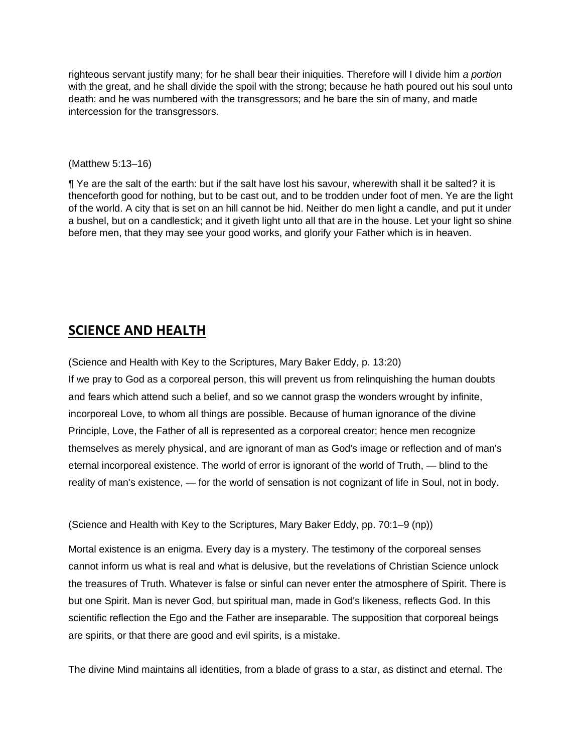righteous servant justify many; for he shall bear their iniquities. Therefore will I divide him *a portion* with the great, and he shall divide the spoil with the strong; because he hath poured out his soul unto death: and he was numbered with the transgressors; and he bare the sin of many, and made intercession for the transgressors.

#### (Matthew 5:13–16)

¶ Ye are the salt of the earth: but if the salt have lost his savour, wherewith shall it be salted? it is thenceforth good for nothing, but to be cast out, and to be trodden under foot of men. Ye are the light of the world. A city that is set on an hill cannot be hid. Neither do men light a candle, and put it under a bushel, but on a candlestick; and it giveth light unto all that are in the house. Let your light so shine before men, that they may see your good works, and glorify your Father which is in heaven.

## **SCIENCE AND HEALTH**

(Science and Health with Key to the Scriptures, Mary Baker Eddy, p. 13:20) If we pray to God as a corporeal person, this will prevent us from relinquishing the human doubts and fears which attend such a belief, and so we cannot grasp the wonders wrought by infinite, incorporeal Love, to whom all things are possible. Because of human ignorance of the divine Principle, Love, the Father of all is represented as a corporeal creator; hence men recognize themselves as merely physical, and are ignorant of man as God's image or reflection and of man's eternal incorporeal existence. The world of error is ignorant of the world of Truth, — blind to the reality of man's existence, — for the world of sensation is not cognizant of life in Soul, not in body.

(Science and Health with Key to the Scriptures, Mary Baker Eddy, pp. 70:1–9 (np))

Mortal existence is an enigma. Every day is a mystery. The testimony of the corporeal senses cannot inform us what is real and what is delusive, but the revelations of Christian Science unlock the treasures of Truth. Whatever is false or sinful can never enter the atmosphere of Spirit. There is but one Spirit. Man is never God, but spiritual man, made in God's likeness, reflects God. In this scientific reflection the Ego and the Father are inseparable. The supposition that corporeal beings are spirits, or that there are good and evil spirits, is a mistake.

The divine Mind maintains all identities, from a blade of grass to a star, as distinct and eternal. The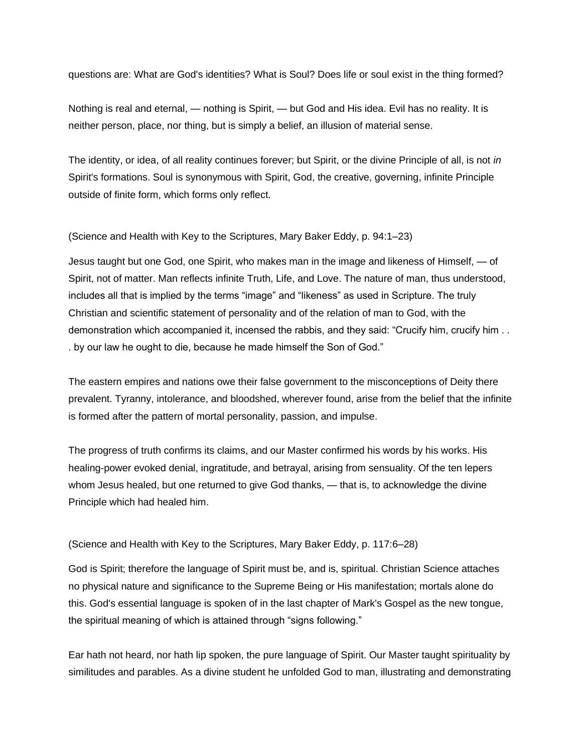questions are: What are God's identities? What is Soul? Does life or soul exist in the thing formed?

Nothing is real and eternal, — nothing is Spirit, — but God and His idea. Evil has no reality. It is neither person, place, nor thing, but is simply a belief, an illusion of material sense.

The identity, or idea, of all reality continues forever; but Spirit, or the divine Principle of all, is not *in*  Spirit's formations. Soul is synonymous with Spirit, God, the creative, governing, infinite Principle outside of finite form, which forms only reflect.

(Science and Health with Key to the Scriptures, Mary Baker Eddy, p. 94:1–23)

Jesus taught but one God, one Spirit, who makes man in the image and likeness of Himself, — of Spirit, not of matter. Man reflects infinite Truth, Life, and Love. The nature of man, thus understood, includes all that is implied by the terms "image" and "likeness" as used in Scripture. The truly Christian and scientific statement of personality and of the relation of man to God, with the demonstration which accompanied it, incensed the rabbis, and they said: "Crucify him, crucify him . . . by our law he ought to die, because he made himself the Son of God."

The eastern empires and nations owe their false government to the misconceptions of Deity there prevalent. Tyranny, intolerance, and bloodshed, wherever found, arise from the belief that the infinite is formed after the pattern of mortal personality, passion, and impulse.

The progress of truth confirms its claims, and our Master confirmed his words by his works. His healing-power evoked denial, ingratitude, and betrayal, arising from sensuality. Of the ten lepers whom Jesus healed, but one returned to give God thanks, — that is, to acknowledge the divine Principle which had healed him.

(Science and Health with Key to the Scriptures, Mary Baker Eddy, p. 117:6–28)

God is Spirit; therefore the language of Spirit must be, and is, spiritual. Christian Science attaches no physical nature and significance to the Supreme Being or His manifestation; mortals alone do this. God's essential language is spoken of in the last chapter of Mark's Gospel as the new tongue, the spiritual meaning of which is attained through "signs following."

Ear hath not heard, nor hath lip spoken, the pure language of Spirit. Our Master taught spirituality by similitudes and parables. As a divine student he unfolded God to man, illustrating and demonstrating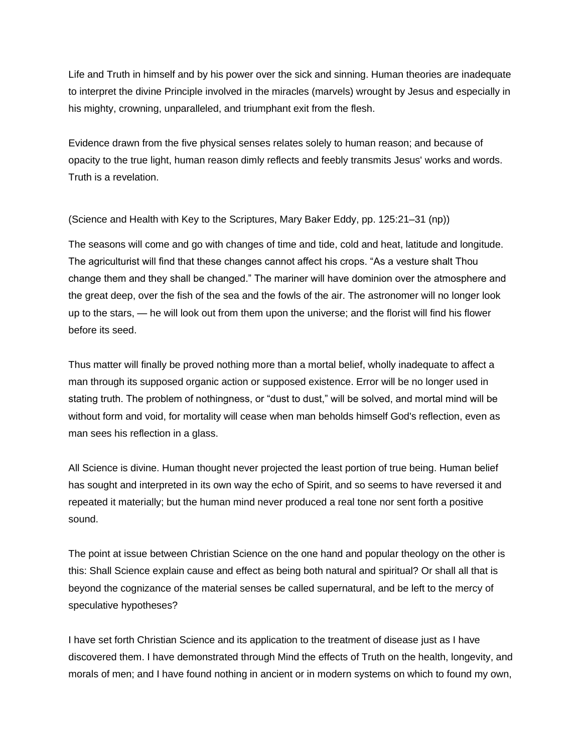Life and Truth in himself and by his power over the sick and sinning. Human theories are inadequate to interpret the divine Principle involved in the miracles (marvels) wrought by Jesus and especially in his mighty, crowning, unparalleled, and triumphant exit from the flesh.

Evidence drawn from the five physical senses relates solely to human reason; and because of opacity to the true light, human reason dimly reflects and feebly transmits Jesus' works and words. Truth is a revelation.

(Science and Health with Key to the Scriptures, Mary Baker Eddy, pp. 125:21–31 (np))

The seasons will come and go with changes of time and tide, cold and heat, latitude and longitude. The agriculturist will find that these changes cannot affect his crops. "As a vesture shalt Thou change them and they shall be changed." The mariner will have dominion over the atmosphere and the great deep, over the fish of the sea and the fowls of the air. The astronomer will no longer look up to the stars, — he will look out from them upon the universe; and the florist will find his flower before its seed.

Thus matter will finally be proved nothing more than a mortal belief, wholly inadequate to affect a man through its supposed organic action or supposed existence. Error will be no longer used in stating truth. The problem of nothingness, or "dust to dust," will be solved, and mortal mind will be without form and void, for mortality will cease when man beholds himself God's reflection, even as man sees his reflection in a glass.

All Science is divine. Human thought never projected the least portion of true being. Human belief has sought and interpreted in its own way the echo of Spirit, and so seems to have reversed it and repeated it materially; but the human mind never produced a real tone nor sent forth a positive sound.

The point at issue between Christian Science on the one hand and popular theology on the other is this: Shall Science explain cause and effect as being both natural and spiritual? Or shall all that is beyond the cognizance of the material senses be called supernatural, and be left to the mercy of speculative hypotheses?

I have set forth Christian Science and its application to the treatment of disease just as I have discovered them. I have demonstrated through Mind the effects of Truth on the health, longevity, and morals of men; and I have found nothing in ancient or in modern systems on which to found my own,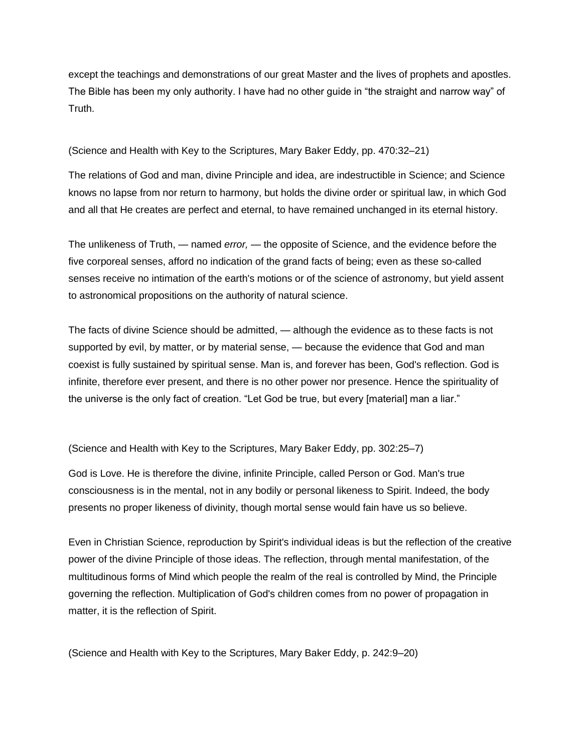except the teachings and demonstrations of our great Master and the lives of prophets and apostles. The Bible has been my only authority. I have had no other guide in "the straight and narrow way" of Truth.

(Science and Health with Key to the Scriptures, Mary Baker Eddy, pp. 470:32–21)

The relations of God and man, divine Principle and idea, are indestructible in Science; and Science knows no lapse from nor return to harmony, but holds the divine order or spiritual law, in which God and all that He creates are perfect and eternal, to have remained unchanged in its eternal history.

The unlikeness of Truth, — named *error,* — the opposite of Science, and the evidence before the five corporeal senses, afford no indication of the grand facts of being; even as these so-called senses receive no intimation of the earth's motions or of the science of astronomy, but yield assent to astronomical propositions on the authority of natural science.

The facts of divine Science should be admitted, — although the evidence as to these facts is not supported by evil, by matter, or by material sense, — because the evidence that God and man coexist is fully sustained by spiritual sense. Man is, and forever has been, God's reflection. God is infinite, therefore ever present, and there is no other power nor presence. Hence the spirituality of the universe is the only fact of creation. "Let God be true, but every [material] man a liar."

(Science and Health with Key to the Scriptures, Mary Baker Eddy, pp. 302:25–7)

God is Love. He is therefore the divine, infinite Principle, called Person or God. Man's true consciousness is in the mental, not in any bodily or personal likeness to Spirit. Indeed, the body presents no proper likeness of divinity, though mortal sense would fain have us so believe.

Even in Christian Science, reproduction by Spirit's individual ideas is but the reflection of the creative power of the divine Principle of those ideas. The reflection, through mental manifestation, of the multitudinous forms of Mind which people the realm of the real is controlled by Mind, the Principle governing the reflection. Multiplication of God's children comes from no power of propagation in matter, it is the reflection of Spirit.

(Science and Health with Key to the Scriptures, Mary Baker Eddy, p. 242:9–20)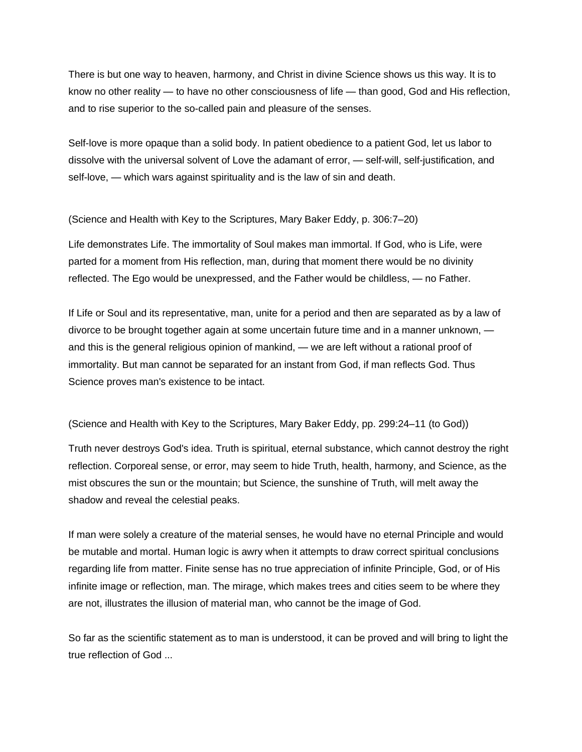There is but one way to heaven, harmony, and Christ in divine Science shows us this way. It is to know no other reality — to have no other consciousness of life — than good, God and His reflection, and to rise superior to the so-called pain and pleasure of the senses.

Self-love is more opaque than a solid body. In patient obedience to a patient God, let us labor to dissolve with the universal solvent of Love the adamant of error, — self-will, self-justification, and self-love, — which wars against spirituality and is the law of sin and death.

(Science and Health with Key to the Scriptures, Mary Baker Eddy, p. 306:7–20)

Life demonstrates Life. The immortality of Soul makes man immortal. If God, who is Life, were parted for a moment from His reflection, man, during that moment there would be no divinity reflected. The Ego would be unexpressed, and the Father would be childless, — no Father.

If Life or Soul and its representative, man, unite for a period and then are separated as by a law of divorce to be brought together again at some uncertain future time and in a manner unknown, and this is the general religious opinion of mankind, — we are left without a rational proof of immortality. But man cannot be separated for an instant from God, if man reflects God. Thus Science proves man's existence to be intact.

(Science and Health with Key to the Scriptures, Mary Baker Eddy, pp. 299:24–11 (to God))

Truth never destroys God's idea. Truth is spiritual, eternal substance, which cannot destroy the right reflection. Corporeal sense, or error, may seem to hide Truth, health, harmony, and Science, as the mist obscures the sun or the mountain; but Science, the sunshine of Truth, will melt away the shadow and reveal the celestial peaks.

If man were solely a creature of the material senses, he would have no eternal Principle and would be mutable and mortal. Human logic is awry when it attempts to draw correct spiritual conclusions regarding life from matter. Finite sense has no true appreciation of infinite Principle, God, or of His infinite image or reflection, man. The mirage, which makes trees and cities seem to be where they are not, illustrates the illusion of material man, who cannot be the image of God.

So far as the scientific statement as to man is understood, it can be proved and will bring to light the true reflection of God ...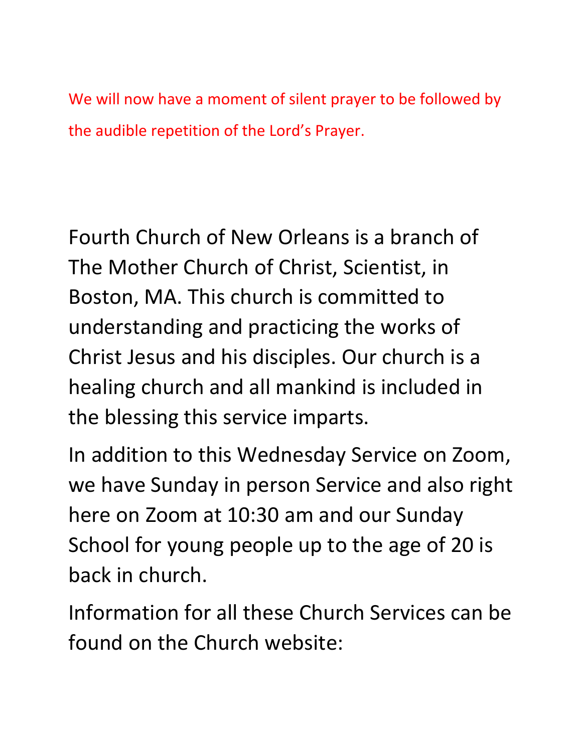We will now have a moment of silent prayer to be followed by the audible repetition of the Lord's Prayer.

Fourth Church of New Orleans is a branch of The Mother Church of Christ, Scientist, in Boston, MA. This church is committed to understanding and practicing the works of Christ Jesus and his disciples. Our church is a healing church and all mankind is included in the blessing this service imparts.

In addition to this Wednesday Service on Zoom, we have Sunday in person Service and also right here on Zoom at 10:30 am and our Sunday School for young people up to the age of 20 is back in church.

Information for all these Church Services can be found on the Church website: